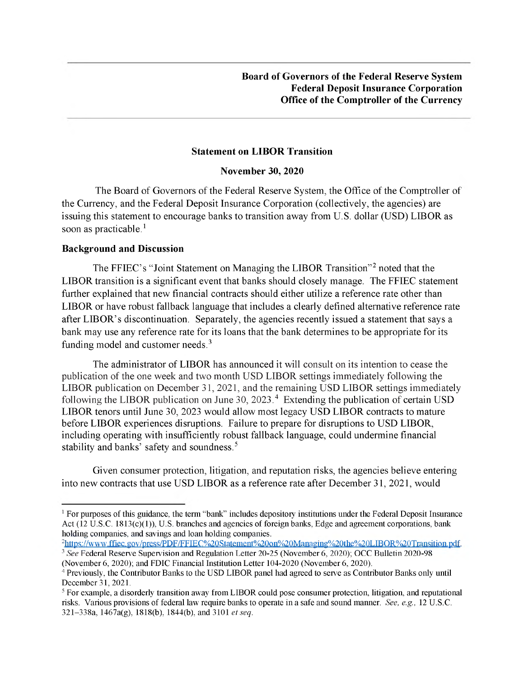## **Statement on LIBOR Transition**

## **November 30, 2020**

The Board of Governors of the Federal Reserve System, the Office of the Comptroller of the Currency, and the Federal Deposit Insurance Corporation (collectively, the agencies) are issuing this statement to encourage banks to transition away from U.S. dollar (USD) LIBOR as soon as practicable. $<sup>1</sup>$ </sup>

## **Background and Discussion**

The FFIEC's "Joint Statement on Managing the LIBOR Transition"<sup>2</sup> noted that the LIBOR transition is a significant event that banks should closely manage. The FFIEC statement further explained that new financial contracts should either utilize a reference rate other than LIBOR or have robust fallback language that includes a clearly defined alternative reference rate after LIBOR's discontinuation. Separately, the agencies recently issued a statement that says a bank may use any reference rate for its loans that the bank determines to be appropriate for its funding model and customer needs. $3$ 

The administrator of LIBOR has announced it will consult on its intention to cease the publication of the one week and two month USD LIBOR settings immediately following the LIBOR publication on December 31, 2021, and the remaining USD LIBOR settings immediately following the LIBOR publication on June 30, 2023.<sup>4</sup> Extending the publication of certain USD LIBOR tenors until June 30, 2023 would allow most legacy USD LIBOR contracts to mature before LIBOR experiences disruptions. Failure to prepare for disruptions to USD LIBOR, including operating with insufficiently robust fallback language, could undermine financial stability and banks' safety and soundness. $<sup>5</sup>$ </sup>

Given consumer protection, litigation, and reputation risks, the agencies believe entering into new contracts that use USD LIBOR as a reference rate after December 31, 2021, would

<span id="page-0-0"></span><sup>&</sup>lt;sup> $1$ </sup> For purposes of this guidance, the term "bank" includes depository institutions under the Federal Deposit Insurance Act (12 U.S.C. 1813(c)(1)), U.S. branches and agencies of foreign banks, Edge and agreement corporations, bank holding companies, and savings and loan holding companies.

<sup>&</sup>lt;sup>2</sup>https://www.ffiec.gov/press/PDF/FFIEC%20Statement%20on%20Managing%20the%20LIBOR%20Transition.pdf. <sup>3</sup> See Federal Reserve Supervision and Regulation Letter 20-25 (November 6, 2020); OCC Bulletin 2020-98

<span id="page-0-1"></span><sup>(</sup>November 6, 2020); and FDIC Financial Institution Letter  $104-2020$  (November 6, 2020).

<span id="page-0-2"></span><sup>-</sup> Previously, the Contributor Banks to the USD LIBOR panel had agreed to serve as Contributor Banks only until December 31, 2021.

 $<sup>5</sup>$  For example, a disorderly transition away from LIBOR could pose consumer protection, litigation, and reputational</sup> risks. Various provisions of federal law require banks to operate in a safe and sound manner. *See, e.g.,* 12 U.S.C. 321-338a, 1467a(g), 1818(b), 1844(b), and 3101 *et seq.*